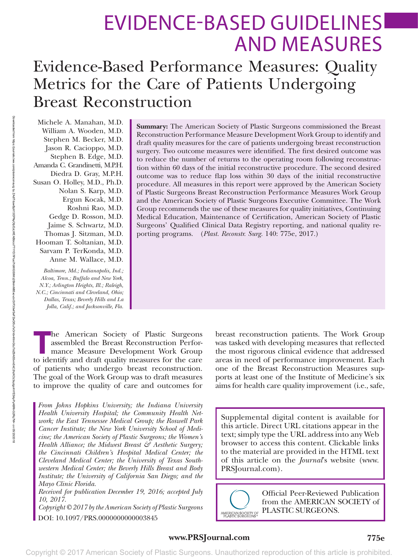# EVIDENCE-BASED GUIDELINES AND MEASURES

# Evidence-Based Performance Measures: Quality Metrics for the Care of Patients Undergoing Breast Reconstruction

Michele A. Manahan, M.D. William A. Wooden, M.D. Stephen M. Becker, M.D. Jason R. Cacioppo, M.D. Stephen B. Edge, M.D. Amanda C. Grandinetti, M.P.H. Diedra D. Gray, M.P.H. Susan O. Holley, M.D., Ph.D. Nolan S. Karp, M.D. Ergun Kocak, M.D. Roshni Rao, M.D. Gedge D. Rosson, M.D. Jaime S. Schwartz, M.D. Thomas J. Sitzman, M.D. Hooman T. Soltanian, M.D. Sarvam P. TerKonda, M.D. Anne M. Wallace, M.D.

*Baltimore, Md.; Indianapolis, Ind.; Alcoa, Tenn.; Buffalo and New York, N.Y.; Arlington Heights, Ill.; Raleigh, N.C.; Cincinnati and Cleveland, Ohio; Dallas, Texas; Beverly Hills and La Jolla, Calif.; and Jacksonville, Fla.* **Summary:** The American Society of Plastic Surgeons commissioned the Breast Reconstruction Performance Measure Development Work Group to identify and draft quality measures for the care of patients undergoing breast reconstruction surgery. Two outcome measures were identified. The first desired outcome was to reduce the number of returns to the operating room following reconstruction within 60 days of the initial reconstructive procedure. The second desired outcome was to reduce flap loss within 30 days of the initial reconstructive procedure. All measures in this report were approved by the American Society of Plastic Surgeons Breast Reconstruction Performance Measures Work Group and the American Society of Plastic Surgeons Executive Committee. The Work Group recommends the use of these measures for quality initiatives, Continuing Medical Education, Maintenance of Certification, American Society of Plastic Surgeons' Qualified Clinical Data Registry reporting, and national quality reporting programs. (*Plast. Reconstr. Surg.* 140: 775e, 2017.)

**T**he American Society of Plastic Surgeons assembled the Breast Reconstruction Performance Measure Development Work Group to identify and draft quality measures for the care of patients who undergo breast reconstruction. The goal of the Work Group was to draft measures to improve the quality of care and outcomes for

*From Johns Hopkins University; the Indiana University Health University Hospital; the Community Health Network; the East Tennessee Medical Group; the Roswell Park Cancer Institute; the New York University School of Medicine; the American Society of Plastic Surgeons; the Women's Health Alliance; the Midwest Breast & Aesthetic Surgery; the Cincinnati Children's Hospital Medical Center; the Cleveland Medical Center; the University of Texas Southwestern Medical Center; the Beverly Hills Breast and Body Institute; the University of California San Diego; and the Mayo Clinic Florida.*

*Received for publication December 19, 2016; accepted July 10, 2017.*

*Copyright © 2017 by the American Society of Plastic Surgeons* DOI: 10.1097/PRS.0000000000003845

breast reconstruction patients. The Work Group was tasked with developing measures that reflected the most rigorous clinical evidence that addressed areas in need of performance improvement. Each one of the Breast Reconstruction Measures supports at least one of the Institute of Medicine's six aims for health care quality improvement (i.e., safe,

Supplemental digital content is available for this article. Direct URL citations appear in the text; simply type the URL address into any Web browser to access this content. Clickable links to the material are provided in the HTML text of this article on the *Journal*'s website [\(www.](www.PRSJournal.com) [PRSJournal.com](www.PRSJournal.com)).



Official Peer-Reviewed Publication from the AMERICAN SOCIETY of PLASTIC SURGEONS.

**www.PRSJournal.com 775e**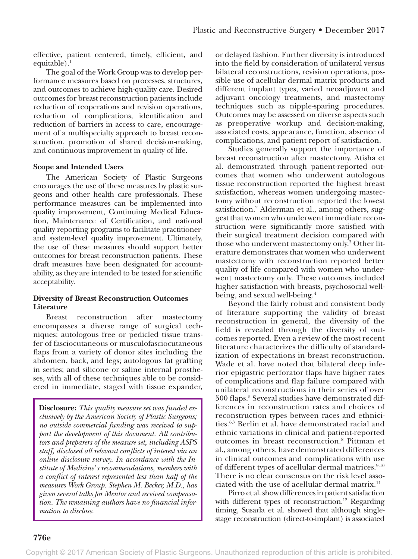effective, patient centered, timely, efficient, and equitable). $<sup>1</sup>$ </sup>

The goal of the Work Group was to develop performance measures based on processes, structures, and outcomes to achieve high-quality care. Desired outcomes for breast reconstruction patients include reduction of reoperations and revision operations, reduction of complications, identification and reduction of barriers in access to care, encouragement of a multispecialty approach to breast reconstruction, promotion of shared decision-making, and continuous improvement in quality of life.

# **Scope and Intended Users**

The American Society of Plastic Surgeons encourages the use of these measures by plastic surgeons and other health care professionals. These performance measures can be implemented into quality improvement, Continuing Medical Education, Maintenance of Certification, and national quality reporting programs to facilitate practitionerand system-level quality improvement. Ultimately, the use of these measures should support better outcomes for breast reconstruction patients. These draft measures have been designated for accountability, as they are intended to be tested for scientific acceptability.

# **Diversity of Breast Reconstruction Outcomes Literature**

Breast reconstruction after mastectomy encompasses a diverse range of surgical techniques: autologous free or pedicled tissue transfer of fasciocutaneous or musculofasciocutaneous flaps from a variety of donor sites including the abdomen, back, and legs; autologous fat grafting in series; and silicone or saline internal prostheses, with all of these techniques able to be considered in immediate, staged with tissue expander,

**Disclosure:** *This quality measure set was funded exclusively by the American Society of Plastic Surgeons; no outside commercial funding was received to support the development of this document. All contributors and preparers of the measure set, including ASPS staff, disclosed all relevant conflicts of interest via an online disclosure survey. In accordance with the Institute of Medicine's recommendations, members with a conflict of interest represented less than half of the measures Work Group. Stephen M. Becker, M.D., has given several talks for Mentor and received compensation. The remaining authors have no financial information to disclose.*

or delayed fashion. Further diversity is introduced into the field by consideration of unilateral versus bilateral reconstructions, revision operations, possible use of acellular dermal matrix products and different implant types, varied neoadjuvant and adjuvant oncology treatments, and mastectomy techniques such as nipple-sparing procedures. Outcomes may be assessed on diverse aspects such as preoperative workup and decision-making, associated costs, appearance, function, absence of complications, and patient report of satisfaction.

Studies generally support the importance of breast reconstruction after mastectomy. Atisha et al. demonstrated through patient-reported outcomes that women who underwent autologous tissue reconstruction reported the highest breast satisfaction, whereas women undergoing mastectomy without reconstruction reported the lowest satisfaction.2 Alderman et al., among others, suggest that women who underwent immediate reconstruction were significantly more satisfied with their surgical treatment decision compared with those who underwent mastectomy only.3 Other literature demonstrates that women who underwent mastectomy with reconstruction reported better quality of life compared with women who underwent mastectomy only. These outcomes included higher satisfaction with breasts, psychosocial wellbeing, and sexual well-being.<sup>4</sup>

Beyond the fairly robust and consistent body of literature supporting the validity of breast reconstruction in general, the diversity of the field is revealed through the diversity of outcomes reported. Even a review of the most recent literature characterizes the difficulty of standardization of expectations in breast reconstruction. Wade et al. have noted that bilateral deep inferior epigastric perforator flaps have higher rates of complications and flap failure compared with unilateral reconstructions in their series of over 500 flaps.5 Several studies have demonstrated differences in reconstruction rates and choices of reconstruction types between races and ethnicities.6,7 Berlin et al. have demonstrated racial and ethnic variations in clinical and patient-reported outcomes in breast reconstruction.8 Pittman et al., among others, have demonstrated differences in clinical outcomes and complications with use of different types of acellular dermal matrices.<sup>9,10</sup> There is no clear consensus on the risk level associated with the use of acellular dermal matrix.<sup>11</sup>

Pirro et al. show differences in patient satisfaction with different types of reconstruction.<sup>12</sup> Regarding timing, Susarla et al. showed that although singlestage reconstruction (direct-to-implant) is associated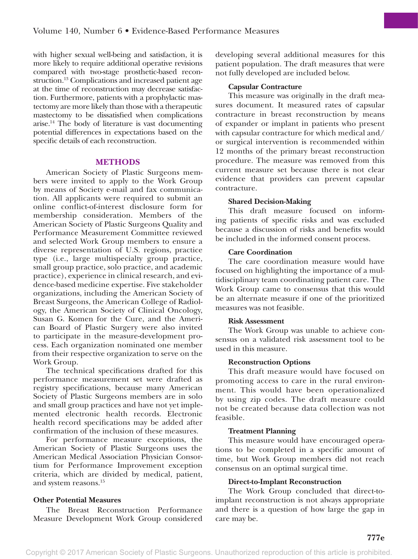with higher sexual well-being and satisfaction, it is more likely to require additional operative revisions compared with two-stage prosthetic-based reconstruction.<sup>13</sup> Complications and increased patient age at the time of reconstruction may decrease satisfaction. Furthermore, patients with a prophylactic mastectomy are more likely than those with a therapeutic mastectomy to be dissatisfied when complications arise. $14$  The body of literature is vast documenting potential differences in expectations based on the specific details of each reconstruction.

# **METHODS**

American Society of Plastic Surgeons members were invited to apply to the Work Group by means of Society e-mail and fax communication. All applicants were required to submit an online conflict-of-interest disclosure form for membership consideration. Members of the American Society of Plastic Surgeons Quality and Performance Measurement Committee reviewed and selected Work Group members to ensure a diverse representation of U.S. regions, practice type (i.e., large multispecialty group practice, small group practice, solo practice, and academic practice), experience in clinical research, and evidence-based medicine expertise. Five stakeholder organizations, including the American Society of Breast Surgeons, the American College of Radiology, the American Society of Clinical Oncology, Susan G. Komen for the Cure, and the American Board of Plastic Surgery were also invited to participate in the measure-development process. Each organization nominated one member from their respective organization to serve on the Work Group.

The technical specifications drafted for this performance measurement set were drafted as registry specifications, because many American Society of Plastic Surgeons members are in solo and small group practices and have not yet implemented electronic health records. Electronic health record specifications may be added after confirmation of the inclusion of these measures.

For performance measure exceptions, the American Society of Plastic Surgeons uses the American Medical Association Physician Consortium for Performance Improvement exception criteria, which are divided by medical, patient, and system reasons.15

# **Other Potential Measures**

The Breast Reconstruction Performance Measure Development Work Group considered developing several additional measures for this patient population. The draft measures that were not fully developed are included below.

## **Capsular Contracture**

This measure was originally in the draft measures document. It measured rates of capsular contracture in breast reconstruction by means of expander or implant in patients who present with capsular contracture for which medical and/ or surgical intervention is recommended within 12 months of the primary breast reconstruction procedure. The measure was removed from this current measure set because there is not clear evidence that providers can prevent capsular contracture.

#### **Shared Decision-Making**

This draft measure focused on informing patients of specific risks and was excluded because a discussion of risks and benefits would be included in the informed consent process.

#### **Care Coordination**

The care coordination measure would have focused on highlighting the importance of a multidisciplinary team coordinating patient care. The Work Group came to consensus that this would be an alternate measure if one of the prioritized measures was not feasible.

#### **Risk Assessment**

The Work Group was unable to achieve consensus on a validated risk assessment tool to be used in this measure.

# **Reconstruction Options**

This draft measure would have focused on promoting access to care in the rural environment. This would have been operationalized by using zip codes. The draft measure could not be created because data collection was not feasible.

#### **Treatment Planning**

This measure would have encouraged operations to be completed in a specific amount of time, but Work Group members did not reach consensus on an optimal surgical time.

#### **Direct-to-Implant Reconstruction**

The Work Group concluded that direct-toimplant reconstruction is not always appropriate and there is a question of how large the gap in care may be.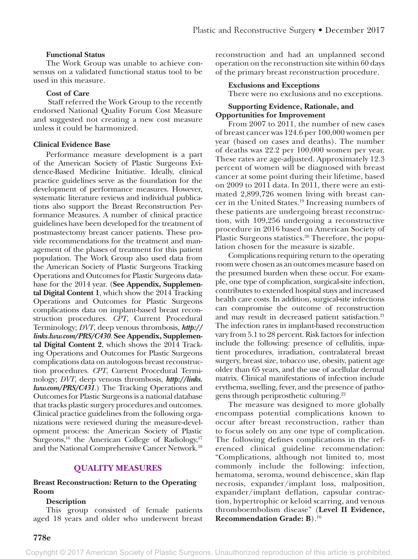# **Functional Status**

The Work Group was unable to achieve consensus on a validated functional status tool to be used in this measure.

#### **Cost of Care**

 Staff referred the Work Group to the recently endorsed National Quality Forum Cost Measure and suggested not creating a new cost measure unless it could be harmonized.

#### **Clinical Evidence Base**

Performance measure development is a part of the American Society of Plastic Surgeons Evidence-Based Medicine Initiative. Ideally, clinical practice guidelines serve as the foundation for the development of performance measures. However, systematic literature reviews and individual publications also support the Breast Reconstruction Performance Measures. A number of clinical practice guidelines have been developed for the treatment of postmastectomy breast cancer patients. These provide recommendations for the treatment and management of the phases of treatment for this patient population. The Work Group also used data from the American Society of Plastic Surgeons Tracking Operations and Outcomes for Plastic Surgeons database for the 2014 year. (**See Appendix, Supplemental Digital Content 1**, which show the 2014 Tracking Operations and Outcomes for Plastic Surgeons complications data on implant-based breast reconstruction procedures. *CPT*, Current Procedural Terminology; *DVT*, deep venous thrombosis, *[http://](http://links.lww.com/PRS/C430) [links.lww.com/PRS/C430](http://links.lww.com/PRS/C430)*. **See Appendix, Supplemental Digital Content 2**, which shows the 2014 Tracking Operations and Outcomes for Plastic Surgeons complications data on autologous breast reconstruction procedures. *CPT*, Current Procedural Terminology; *DVT*, deep venous thrombosis, *[http://links.](http://links.lww.com/PRS/C431) [lww.com/PRS/C431](http://links.lww.com/PRS/C431)*.) The Tracking Operations and Outcomes for Plastic Surgeons is a national database that tracks plastic surgery procedures and outcomes. Clinical practice guidelines from the following organizations were reviewed during the measure-development process: the American Society of Plastic Surgeons,<sup>16</sup> the American College of Radiology,<sup>17</sup> and the National Comprehensive Cancer Network.18

# **QUALITY MEASURES**

#### **Breast Reconstruction: Return to the Operating Room**

#### **Description**

This group consisted of female patients aged 18 years and older who underwent breast

reconstruction and had an unplanned second operation on the reconstruction site within 60 days of the primary breast reconstruction procedure.

#### **Exclusions and Exceptions**

There were no exclusions and no exceptions.

#### **Supporting Evidence, Rationale, and Opportunities for Improvement**

From 2007 to 2011, the number of new cases of breast cancer was 124.6 per 100,000 women per year (based on cases and deaths). The number of deaths was 22.2 per 100,000 women per year. These rates are age-adjusted. Approximately 12.3 percent of women will be diagnosed with breast cancer at some point during their lifetime, based on 2009 to 2011 data. In 2011, there were an estimated 2,899,726 women living with breast cancer in the United States.19 Increasing numbers of these patients are undergoing breast reconstruction, with 109,256 undergoing a reconstructive procedure in 2016 based on American Society of Plastic Surgeons statistics.<sup>20</sup> Therefore, the population chosen for the measure is sizable.

Complications requiring return to the operating room were chosen as an outcomes measure based on the presumed burden when these occur. For example, one type of complication, surgical-site infection, contributes to extended hospital stays and increased health care costs. In addition, surgical-site infections can compromise the outcome of reconstruction and may result in decreased patient satisfaction.<sup>21</sup> The infection rates in implant-based reconstruction vary from 5.1 to 28 percent. Risk factors for infection include the following: presence of cellulitis, inpatient procedures, irradiation, contralateral breast surgery, breast size, tobacco use, obesity, patient age older than 65 years, and the use of acellular dermal matrix. Clinical manifestations of infection include erythema, swelling, fever, and the presence of pathogens through periprosthetic culturing.22

The measure was designed to more globally encompass potential complications known to occur after breast reconstruction, rather than to focus solely on any one type of complication. The following defines complications in the referenced clinical guideline recommendation: "Complications, although not limited to, most commonly include the following: infection, hematoma, seroma, wound dehiscence, skin flap necrosis, expander/implant loss, malposition, expander/implant deflation, capsular contraction, hypertrophic or keloid scarring, and venous thromboembolism disease" (**Level II Evidence, Recommendation Grade: B**).16

Copyright © 2017 American Society of Plastic Surgeons. Unauthorized reproduction of this article is prohibited.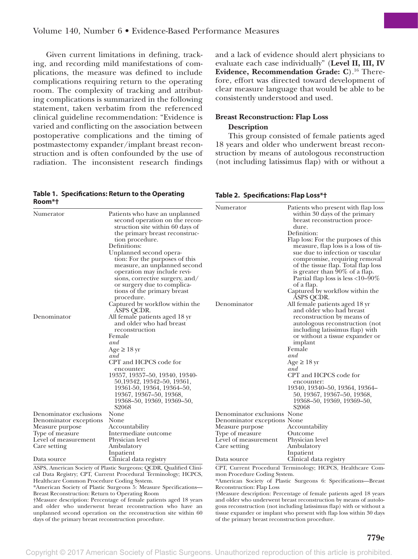Given current limitations in defining, tracking, and recording mild manifestations of complications, the measure was defined to include complications requiring return to the operating room. The complexity of tracking and attributing complications is summarized in the following statement, taken verbatim from the referenced clinical guideline recommendation: "Evidence is varied and conflicting on the association between postoperative complications and the timing of postmastectomy expander/implant breast reconstruction and is often confounded by the use of radiation. The inconsistent research findings

#### **Table 1. Specifications: Return to the Operating Room\*†**

and a lack of evidence should alert physicians to evaluate each case individually" (**Level II, III, IV Evidence, Recommendation Grade: C**).16 Therefore, effort was directed toward development of clear measure language that would be able to be consistently understood and used.

# **Breast Reconstruction: Flap Loss Description**

This group consisted of female patients aged 18 years and older who underwent breast reconstruction by means of autologous reconstruction (not including latissimus flap) with or without a

**Table 2. Specifications: Flap Loss\*†**

| ו יווטטח                 |                                                                                                                                                                                                                                                                                                                                                                                                                                                                                                                                                                                                                                                                                                                                                                                                                        | Numerator                   | Patients who present with flap loss                                                                                                                                                                                                                                                                                                                                                                                                                                                                                                                                                                                                                                                                                                                                                                                                         |
|--------------------------|------------------------------------------------------------------------------------------------------------------------------------------------------------------------------------------------------------------------------------------------------------------------------------------------------------------------------------------------------------------------------------------------------------------------------------------------------------------------------------------------------------------------------------------------------------------------------------------------------------------------------------------------------------------------------------------------------------------------------------------------------------------------------------------------------------------------|-----------------------------|---------------------------------------------------------------------------------------------------------------------------------------------------------------------------------------------------------------------------------------------------------------------------------------------------------------------------------------------------------------------------------------------------------------------------------------------------------------------------------------------------------------------------------------------------------------------------------------------------------------------------------------------------------------------------------------------------------------------------------------------------------------------------------------------------------------------------------------------|
| Numerator<br>Denominator | Patients who have an unplanned<br>second operation on the recon-<br>struction site within 60 days of<br>the primary breast reconstruc-<br>tion procedure.<br>Definitions:<br>Unplanned second opera-<br>tion: For the purposes of this<br>measure, an unplanned second<br>operation may include revi-<br>sions, corrective surgery, and/<br>or surgery due to complica-<br>tions of the primary breast<br>procedure.<br>Captured by workflow within the<br>ÁSPS QCDR.<br>All female patients aged 18 yr<br>and older who had breast<br>reconstruction<br>Female<br>and<br>Age $\geq$ 18 yr<br>and<br>CPT and HCPCS code for<br>encounter:<br>19357, 19357-50, 19340, 19340-<br>50, 19342, 19342–50, 19361,<br>19361-50, 19364, 19364-50,<br>19367, 19367–50, 19368,<br>19368–50, 19369, 19369–50,<br>S <sub>2068</sub> | Denominator                 | within 30 days of the primary<br>breast reconstruction proce-<br>dure.<br>Definition:<br>Flap loss: For the purposes of this<br>measure, flap loss is a loss of tis-<br>sue due to infection or vascular<br>compromise, requiring removal<br>of the tissue flap. Total flap loss<br>is greater than 90% of a flap.<br>Partial flap loss is less $<10-90\%$<br>of a flap.<br>Captured by workflow within the<br><b>ASPS QCDR.</b><br>All female patients aged 18 yr<br>and older who had breast<br>reconstruction by means of<br>autologous reconstruction (not<br>including latissimus flap) with<br>or without a tissue expander or<br>implant<br>Female<br>and<br>Age $\geq$ 18 yr<br>and<br>CPT and HCPCS code for<br>encounter:<br>19340, 19340–50, 19364, 19364–<br>50, 19367, 19367–50, 19368,<br>19368–50, 19369, 19369–50,<br>S2068 |
| Denominator exclusions   | None                                                                                                                                                                                                                                                                                                                                                                                                                                                                                                                                                                                                                                                                                                                                                                                                                   | Denominator exclusions None |                                                                                                                                                                                                                                                                                                                                                                                                                                                                                                                                                                                                                                                                                                                                                                                                                                             |
| Denominator exceptions   | None                                                                                                                                                                                                                                                                                                                                                                                                                                                                                                                                                                                                                                                                                                                                                                                                                   | Denominator exceptions None |                                                                                                                                                                                                                                                                                                                                                                                                                                                                                                                                                                                                                                                                                                                                                                                                                                             |
| Measure purpose          | Accountability                                                                                                                                                                                                                                                                                                                                                                                                                                                                                                                                                                                                                                                                                                                                                                                                         | Measure purpose             | Accountability                                                                                                                                                                                                                                                                                                                                                                                                                                                                                                                                                                                                                                                                                                                                                                                                                              |
| Type of measure          | Intermediate outcome                                                                                                                                                                                                                                                                                                                                                                                                                                                                                                                                                                                                                                                                                                                                                                                                   | Type of measure             | Outcome                                                                                                                                                                                                                                                                                                                                                                                                                                                                                                                                                                                                                                                                                                                                                                                                                                     |
| Level of measurement     | Physician level                                                                                                                                                                                                                                                                                                                                                                                                                                                                                                                                                                                                                                                                                                                                                                                                        | Level of measurement        | Physician level                                                                                                                                                                                                                                                                                                                                                                                                                                                                                                                                                                                                                                                                                                                                                                                                                             |
| Care setting             | Ambulatory                                                                                                                                                                                                                                                                                                                                                                                                                                                                                                                                                                                                                                                                                                                                                                                                             | Care setting                | Ambulatory                                                                                                                                                                                                                                                                                                                                                                                                                                                                                                                                                                                                                                                                                                                                                                                                                                  |
|                          | Inpatient                                                                                                                                                                                                                                                                                                                                                                                                                                                                                                                                                                                                                                                                                                                                                                                                              |                             | Inpatient                                                                                                                                                                                                                                                                                                                                                                                                                                                                                                                                                                                                                                                                                                                                                                                                                                   |
| Data source              | Clinical data registry                                                                                                                                                                                                                                                                                                                                                                                                                                                                                                                                                                                                                                                                                                                                                                                                 | Data source                 | Clinical data registry                                                                                                                                                                                                                                                                                                                                                                                                                                                                                                                                                                                                                                                                                                                                                                                                                      |
|                          | ASPS, American Society of Plastic Surgeons; QCDR, Qualified Clini-                                                                                                                                                                                                                                                                                                                                                                                                                                                                                                                                                                                                                                                                                                                                                     |                             | CPT, Current Procedural Terminology; HCPCS, Healthcare Com-                                                                                                                                                                                                                                                                                                                                                                                                                                                                                                                                                                                                                                                                                                                                                                                 |

ASPS, American Society of Plastic Surgeons; QCDR, Qualified Clinical Data Registry; CPT, Current Procedural Terminology; HCPCS, Healthcare Common Procedure Coding System.

\*American Society of Plastic Surgeons 5: Measure Specifications— Breast Reconstruction: Return to Operating Room

†Measure description: Percentage of female patients aged 18 years and older who underwent breast reconstruction who have an unplanned second operation on the reconstruction site within 60 days of the primary breast reconstruction procedure.

mon Procedure Coding System. \*American Society of Plastic Surgeons 6: Specifications—Breast Reconstruction: Flap Loss

†Measure description: Percentage of female patients aged 18 years and older who underwent breast reconstruction by means of autologous reconstruction (not including latissimus flap) with or without a tissue expander or implant who present with flap loss within 30 days of the primary breast reconstruction procedure.

Copyright © 2017 American Society of Plastic Surgeons. Unauthorized reproduction of this article is prohibited.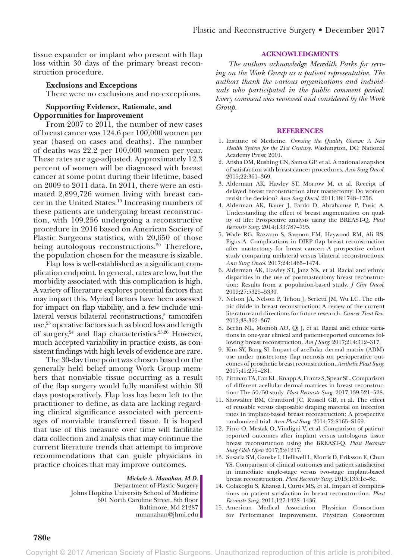tissue expander or implant who present with flap loss within 30 days of the primary breast reconstruction procedure.

## **Exclusions and Exceptions**

There were no exclusions and no exceptions.

## **Supporting Evidence, Rationale, and Opportunities for Improvement**

From 2007 to 2011, the number of new cases of breast cancer was 124.6 per 100,000 women per year (based on cases and deaths). The number of deaths was 22.2 per 100,000 women per year. These rates are age-adjusted. Approximately 12.3 percent of women will be diagnosed with breast cancer at some point during their lifetime, based on 2009 to 2011 data. In 2011, there were an estimated 2,899,726 women living with breast cancer in the United States.19 Increasing numbers of these patients are undergoing breast reconstruction, with 109,256 undergoing a reconstructive procedure in 2016 based on American Society of Plastic Surgeons statistics, with 20,650 of those being autologous reconstructions.<sup>20</sup> Therefore, the population chosen for the measure is sizable.

Flap loss is well-established as a significant complication endpoint. In general, rates are low, but the morbidity associated with this complication is high. A variety of literature explores potential factors that may impact this. Myriad factors have been assessed for impact on flap viability, and a few include unilateral versus bilateral reconstructions,<sup>5</sup> tamoxifen use,<sup>23</sup> operative factors such as blood loss and length of surgery, $24$  and flap characteristics.<sup>25,26</sup> However, much accepted variability in practice exists, as consistent findings with high levels of evidence are rare.

The 30-day time point was chosen based on the generally held belief among Work Group members that nonviable tissue occurring as a result of the flap surgery would fully manifest within 30 days postoperatively. Flap loss has been left to the practitioner to define, as data are lacking regarding clinical significance associated with percentages of nonviable transferred tissue. It is hoped that use of this measure over time will facilitate data collection and analysis that may continue the current literature trends that attempt to improve recommendations that can guide physicians in practice choices that may improve outcomes.

*Michele A. Manahan, M.D.*

Department of Plastic Surgery Johns Hopkins University School of Medicine 601 North Caroline Street, 8th floor Baltimore, Md 21287 [mmanahan@jhmi.edu](mailto:mmanahan@jhmi.edu)

#### **ACKNOWLEDGMENTS**

*The authors acknowledge Meredith Parks for serving on the Work Group as a patient representative. The authors thank the various organizations and individuals who participated in the public comment period. Every comment was reviewed and considered by the Work Group.*

#### **REFERENCES**

- 1. Institute of Medicine. *Crossing the Quality Chasm: A New Health System for the 21st Century*. Washington, DC: National Academy Press; 2001.
- 2. Atisha DM, Rushing CN, Samsa GP, et al. A national snapshot of satisfaction with breast cancer procedures. *Ann Surg Oncol*. 2015;22:361–369.
- 3. Alderman AK, Hawley ST, Morrow M, et al. Receipt of delayed breast reconstruction after mastectomy: Do women revisit the decision? *Ann Surg Oncol*. 2011;18:1748–1756.
- 4. Alderman AK, Bauer J, Fardo D, Abrahamse P, Pusic A. Understanding the effect of breast augmentation on quality of life: Prospective analysis using the BREAST-Q. *Plast Reconstr Surg*. 2014;133:787–795.
- 5. Wade RG, Razzano S, Sassoon EM, Haywood RM, Ali RS, Figus A. Complications in DIEP flap breast reconstruction after mastectomy for breast cancer: A prospective cohort study comparing unilateral versus bilateral reconstructions. *Ann Surg Oncol*. 2017;24:1465–1474.
- 6. Alderman AK, Hawley ST, Janz NK, et al. Racial and ethnic disparities in the use of postmastectomy breast reconstruction: Results from a population-based study. *J Clin Oncol*. 2009;27:5325–5330.
- 7. Nelson JA, Nelson P, Tchou J, Serletti JM, Wu LC. The ethnic divide in breast reconstruction: A review of the current literature and directions for future research. *Cancer Treat Rev*. 2012;38:362–367.
- 8. Berlin NL, Momoh AO, Qi J, et al. Racial and ethnic variations in one-year clinical and patient-reported outcomes following breast reconstruction. *Am J Surg*. 2017;214:312–317.
- 9. Kim SY, Bang SI. Impact of acellular dermal matrix (ADM) use under mastectomy flap necrosis on perioperative outcomes of prosthetic breast reconstruction. *Aesthetic Plast Surg*. 2017;41:275–281.
- 10. Pittman TA, Fan KL, Knapp A, Frantz S, Spear SL. Comparison of different acellular dermal matrices in breast reconstruction: The 50/50 study. *Plast Reconstr Surg*. 2017;139:521–528.
- 11. Showalter BM, Crantford JC, Russell GB, et al. The effect of reusable versus disposable draping material on infection rates in implant-based breast reconstruction: A prospective randomized trial. *Ann Plast Surg*. 2014;72:S165–S169.
- 12. Pirro O, Mestak O, Vindigni V, et al. Comparison of patientreported outcomes after implant versus autologous tissue breast reconstruction using the BREAST-Q. *Plast Reconstr Surg Glob Open* 2017;5:e1217.
- 13. Susarla SM, Ganske I, Helliwell L, Morris D, Eriksson E, Chun YS. Comparison of clinical outcomes and patient satisfaction in immediate single-stage versus two-stage implant-based breast reconstruction. *Plast Reconstr Surg*. 2015;135:1e–8e.
- 14. Colakoglu S, Khansa I, Curtis MS, et al. Impact of complications on patient satisfaction in breast reconstruction. *Plast Reconstr Surg*. 2011;127:1428–1436.
- 15. American Medical Association Physician Consortium for Performance Improvement. Physician Consortium